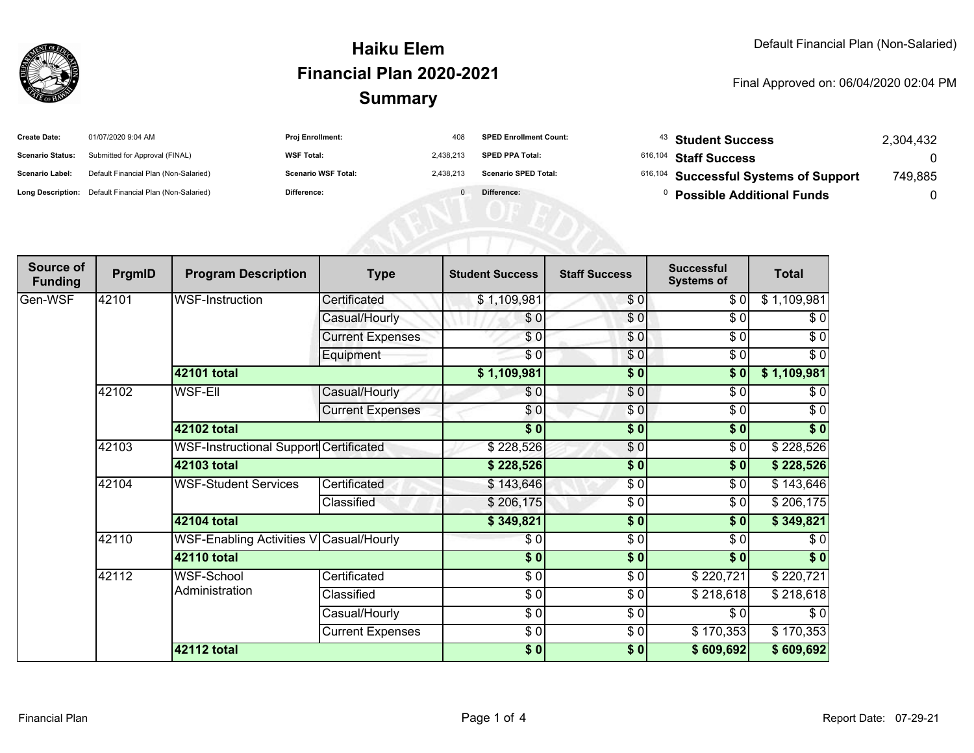

#### **SummaryHaiku ElemFinancial Plan 2020-2021**

#### Final Approved on: 06/04/2020 02:04 PM

| <b>Create Date:</b>     | 01/07/2020 9:04 AM                                      | <b>Proj Enrollment:</b>    | 408       | <b>SPED Enrollment Count:</b> | $43$ Student Success                             | 2,304,432 |
|-------------------------|---------------------------------------------------------|----------------------------|-----------|-------------------------------|--------------------------------------------------|-----------|
| <b>Scenario Status:</b> | Submitted for Approval (FINAL)                          | <b>WSF Total:</b>          | 2.438.213 | <b>SPED PPA Total:</b>        | $616,104$ Staff Success                          |           |
| <b>Scenario Label:</b>  | Default Financial Plan (Non-Salaried)                   | <b>Scenario WSF Total:</b> | 2.438.213 | <b>Scenario SPED Total:</b>   | <sup>616,104</sup> Successful Systems of Support | 749.885   |
|                         | Long Description: Default Financial Plan (Non-Salaried) | Difference:                |           | Difference:                   | <b>Possible Additional Funds</b>                 |           |

| Source of<br><b>Funding</b> | PrgmID | <b>Program Description</b>              | <b>Type</b>             | <b>Student Success</b>   | <b>Staff Success</b> | <b>Successful</b><br><b>Systems of</b> | <b>Total</b> |
|-----------------------------|--------|-----------------------------------------|-------------------------|--------------------------|----------------------|----------------------------------------|--------------|
| Gen-WSF                     | 42101  | WSF-Instruction                         | Certificated            | \$1,109,981              | \$0                  | \$0                                    | \$1,109,981  |
|                             |        |                                         | Casual/Hourly           | \$0                      | \$0                  | \$0                                    | \$0          |
|                             |        |                                         | <b>Current Expenses</b> | \$0                      | \$0                  | $\sqrt{6}$                             | $\sqrt{6}$   |
|                             |        |                                         | Equipment               | $\overline{\frac{6}{9}}$ | \$0                  | \$0                                    | $\sqrt{6}$   |
|                             |        | 42101 total                             |                         | \$1,109,981              | \$0                  | \$0                                    | \$1,109,981  |
|                             | 42102  | <b>WSF-Ell</b>                          | Casual/Hourly           | \$0                      | \$0                  | \$0                                    | \$0          |
|                             |        |                                         | <b>Current Expenses</b> | \$0                      | \$0                  | \$0                                    | $\sqrt{6}$   |
|                             |        | 42102 total                             |                         | $\overline{\$0}$         | $\frac{1}{6}$        | \$0                                    | $\sqrt[6]{}$ |
|                             | 42103  | WSF-Instructional Support Certificated  |                         | \$228,526                | \$0                  | \$0                                    | \$228,526    |
|                             |        | 42103 total                             |                         | \$228,526                | $\frac{1}{6}$        | \$0                                    | \$228,526    |
|                             | 42104  | <b>WSF-Student Services</b>             | Certificated            | \$143,646                | \$0                  | \$0                                    | \$143,646    |
|                             |        |                                         | Classified              | \$206,175                | \$0                  | \$0                                    | \$206,175    |
|                             |        | 42104 total                             |                         | \$349,821                | $\frac{1}{6}$        | $\overline{\$0}$                       | \$349,821    |
|                             | 42110  | WSF-Enabling Activities V Casual/Hourly |                         | \$0                      | \$0                  | \$0                                    | \$0          |
|                             |        | 42110 total                             |                         | \$0]                     | $\sqrt{6}$           | \$0                                    | $\sqrt[6]{}$ |
|                             | 42112  | WSF-School<br>Administration            | Certificated            | \$0                      | \$0                  | \$220,721                              | \$220,721    |
|                             |        |                                         | Classified              | \$0                      | \$0                  | \$218,618                              | \$218,618    |
|                             |        |                                         | Casual/Hourly           | \$0                      | $\frac{1}{\epsilon}$ | \$0                                    | $\sqrt{6}$   |
|                             |        |                                         | <b>Current Expenses</b> | \$0                      | \$0                  | \$170,353                              | \$170,353    |
|                             |        | 42112 total                             |                         | \$0]                     | $\sqrt{6}$           | \$609,692                              | \$609,692    |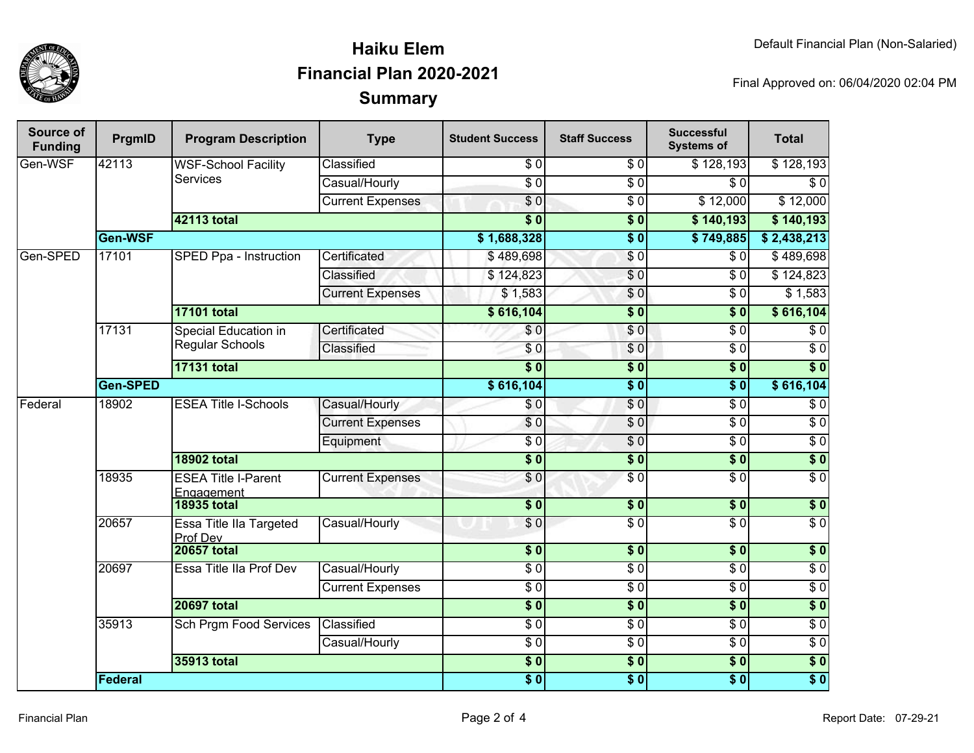

## **SummaryHaiku ElemFinancial Plan 2020-2021**

Final Approved on: 06/04/2020 02:04 PM

| <b>Source of</b><br><b>Funding</b> | PrgmID   | <b>Program Description</b>                    | <b>Type</b>             | <b>Student Success</b> | <b>Staff Success</b> | <b>Successful</b><br><b>Systems of</b> | <b>Total</b>     |
|------------------------------------|----------|-----------------------------------------------|-------------------------|------------------------|----------------------|----------------------------------------|------------------|
| Gen-WSF                            | 42113    | <b>WSF-School Facility</b><br><b>Services</b> | Classified              | \$0                    | \$0                  | \$128,193                              | \$128,193        |
|                                    |          |                                               | Casual/Hourly           | $\overline{S}0$        | $\sqrt{6}$           | $\overline{\$0}$                       | $\sqrt{6}$       |
|                                    |          |                                               | <b>Current Expenses</b> | $\overline{\$0}$       | $\sqrt{6}$           | \$12,000                               | \$12,000         |
|                                    |          | 42113 total                                   |                         | $\overline{\$0}$       | $\overline{\$0}$     | \$140,193                              | \$140,193        |
|                                    | Gen-WSF  |                                               |                         | \$1,688,328            | $\overline{\$0}$     | \$749,885                              | \$2,438,213      |
| Gen-SPED                           | 17101    | SPED Ppa - Instruction                        | Certificated            | \$489,698              | $\overline{S}0$      | $\overline{30}$                        | \$489,698        |
|                                    |          |                                               | Classified              | \$124,823              | \$0                  | $\overline{30}$                        | \$124,823        |
|                                    |          |                                               | <b>Current Expenses</b> | \$1,583                | $\overline{\$0}$     | $\overline{30}$                        | \$1,583          |
|                                    |          | <b>17101 total</b>                            |                         | \$616,104              | $\overline{\$0}$     | $\overline{\$0}$                       | \$616,104        |
|                                    | 17131    | Special Education in<br>Regular Schools       | Certificated            | \$0                    | \$0                  | $\overline{30}$                        | $\sqrt{6}$       |
|                                    |          |                                               | Classified              | \$0                    | \$0                  | $\sqrt{6}$                             | $\sqrt{6}$       |
|                                    |          | <b>17131 total</b>                            |                         | $\overline{\$0}$       | $\overline{\$0}$     | $\overline{\$0}$                       | $\overline{\$0}$ |
|                                    | Gen-SPED |                                               |                         |                        | $\overline{\$0}$     | $\overline{\$0}$                       | \$616,104        |
| Federal                            | 18902    | <b>ESEA Title I-Schools</b>                   | Casual/Hourly           | \$0                    | \$0                  | $\overline{30}$                        | $\overline{\$0}$ |
|                                    |          |                                               | <b>Current Expenses</b> | \$0                    | \$0                  | $\sqrt{6}$                             | $\overline{$}0$  |
|                                    |          |                                               | Equipment               | $\overline{30}$        | \$0                  | $\overline{\$0}$                       | $\overline{50}$  |
|                                    |          | <b>18902 total</b>                            |                         | $\overline{\$0}$       | $\overline{\$0}$     | $\overline{\$0}$                       | $\overline{\$0}$ |
|                                    | 18935    | <b>ESEA Title I-Parent</b><br>Engagement      | <b>Current Expenses</b> | \$0                    | \$0                  | $\overline{30}$                        | $\overline{50}$  |
|                                    |          | <b>18935 total</b>                            |                         | \$0                    | s <sub>0</sub>       | \$0                                    | \$0              |
|                                    | 20657    | <b>Essa Title IIa Targeted</b><br>Prof Dev    | Casual/Hourly           | $\overline{\$0}$       | $\sqrt{6}$           | $\overline{\$0}$                       | $\overline{\$0}$ |
|                                    |          | <b>20657 total</b>                            |                         | $\overline{\$0}$       | \$0                  | \$0                                    | \$0              |
|                                    | 20697    | Essa Title IIa Prof Dev                       | Casual/Hourly           | $\overline{60}$        | $\overline{50}$      | $\sqrt{6}$                             | $\overline{S}0$  |
|                                    |          |                                               | <b>Current Expenses</b> | $\overline{\$0}$       | \$0                  | $\sqrt{6}$                             | $\overline{S}0$  |
|                                    |          | <b>20697 total</b>                            |                         | $\overline{\$0}$       | $\overline{\$0}$     | $\overline{\$0}$                       | $\overline{\$0}$ |
|                                    | 35913    | Sch Prgm Food Services                        | Classified              | $\sqrt{6}$             | \$0                  | $\sqrt{6}$                             | $\sqrt{6}$       |
|                                    |          |                                               | Casual/Hourly           | $\overline{60}$        | \$0                  | $\sqrt{6}$                             | $\overline{S}0$  |
|                                    |          | 35913 total                                   |                         | $\overline{\$0}$       | $\overline{\$0}$     | $\overline{\$0}$                       | $\overline{\$0}$ |
|                                    | Federal  |                                               |                         | \$0                    | $\overline{\$0}$     | \$0                                    | $\overline{\$0}$ |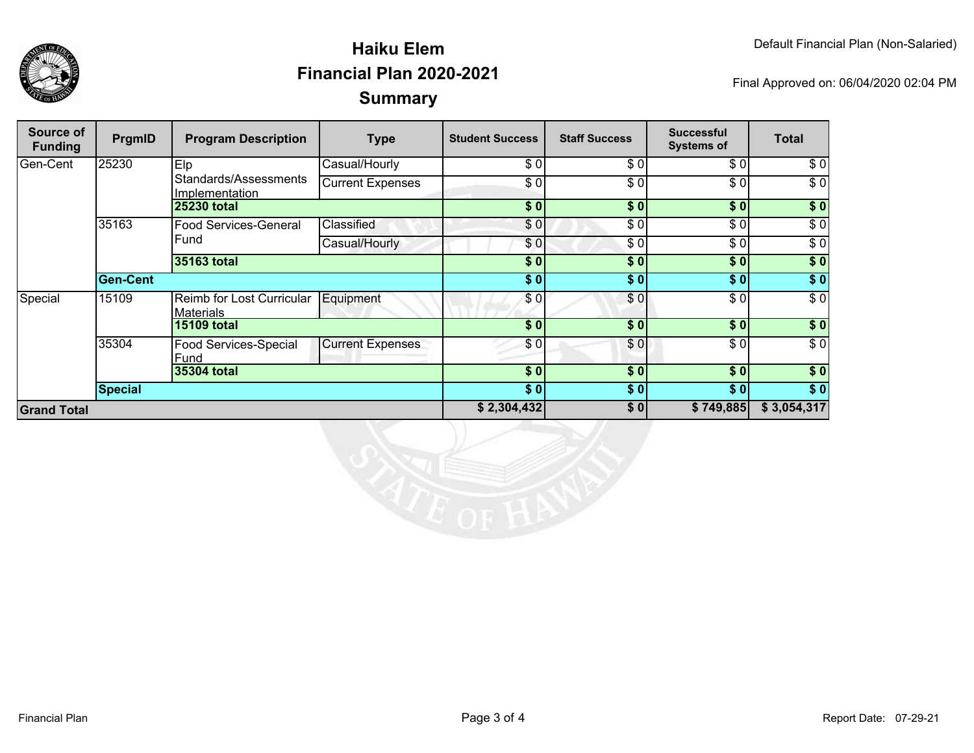

## **SummaryHaiku ElemFinancial Plan 2020-2021**

Final Approved on: 06/04/2020 02:04 PM

| Source of<br><b>Funding</b> | PrgmID         | <b>Program Description</b>                    | <b>Type</b>             | <b>Student Success</b> | <b>Staff Success</b> | <b>Successful</b><br><b>Systems of</b> | <b>Total</b>     |
|-----------------------------|----------------|-----------------------------------------------|-------------------------|------------------------|----------------------|----------------------------------------|------------------|
| Gen-Cent                    | 25230          | Elp                                           | Casual/Hourly           | \$0                    | \$0                  | \$ O                                   | \$0              |
|                             |                | Standards/Assessments<br>Implementation       | <b>Current Expenses</b> | \$ Ol                  | \$0                  | \$0                                    | $\overline{\$0}$ |
|                             |                | <b>25230 total</b>                            |                         | \$0]                   | \$0]                 | \$0                                    | \$0              |
|                             | 35163          | <b>Food Services-General</b>                  | Classified              | \$0                    | \$0                  | \$0                                    | $\sqrt{6}$       |
|                             |                | Fund                                          | Casual/Hourly           | \$0]                   | \$0                  | \$0                                    | \$0              |
|                             |                | 35163 total                                   |                         | \$0                    | \$0                  | \$0                                    | \$0              |
|                             | Gen-Cent       |                                               |                         | \$0]                   | \$0]                 | \$0                                    | \$0              |
| Special                     | 15109          | Reimb for Lost Curricular<br><b>Materials</b> | Equipment               | \$0                    | \$0                  | \$ O                                   | $\sqrt{6}$       |
|                             |                | <b>15109 total</b>                            |                         | \$0                    | \$0                  | \$0                                    | \$0              |
|                             | 35304          | <b>Food Services-Special</b><br><b>Fund</b>   | <b>Current Expenses</b> | \$0                    | \$0                  | \$ O                                   | \$0              |
|                             |                | 35304 total                                   |                         | \$0                    | \$0                  | \$0                                    | $\sqrt{50}$      |
|                             | <b>Special</b> |                                               |                         | \$0]                   | \$0]                 | \$0                                    | $\overline{\$}0$ |
| <b>Grand Total</b>          |                |                                               | \$2,304,432             | \$0]                   | \$749,885            | \$3,054,317                            |                  |